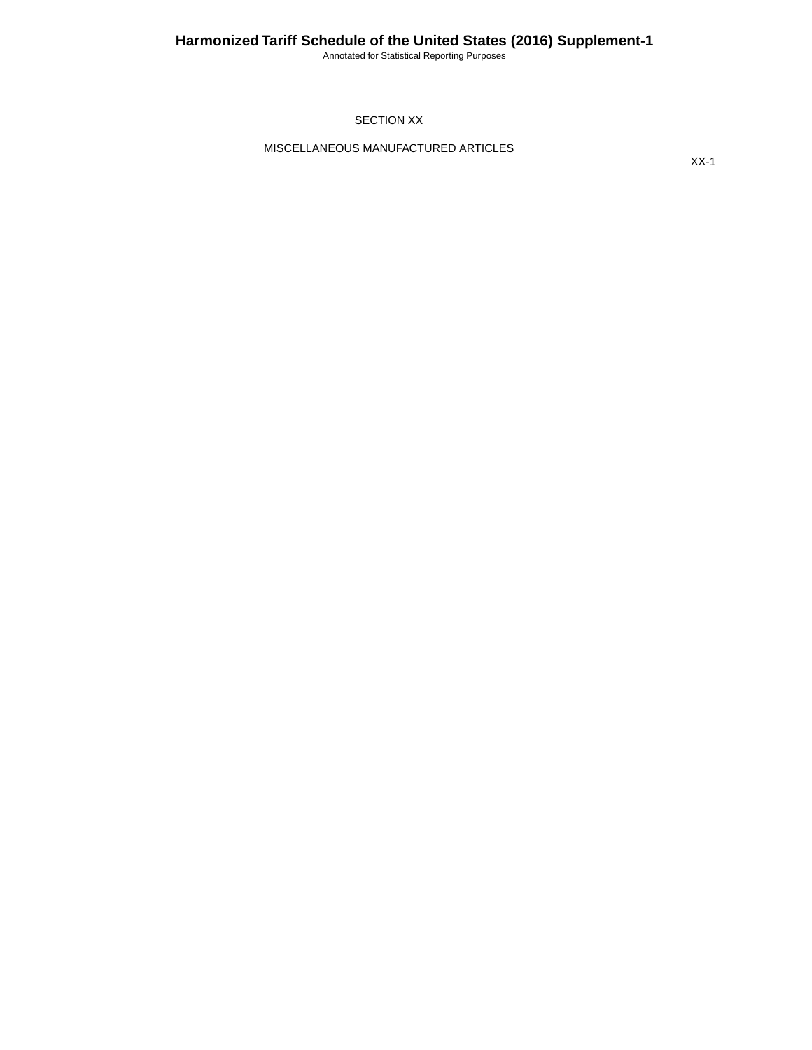Annotated for Statistical Reporting Purposes

#### SECTION XX

MISCELLANEOUS MANUFACTURED ARTICLES

XX-1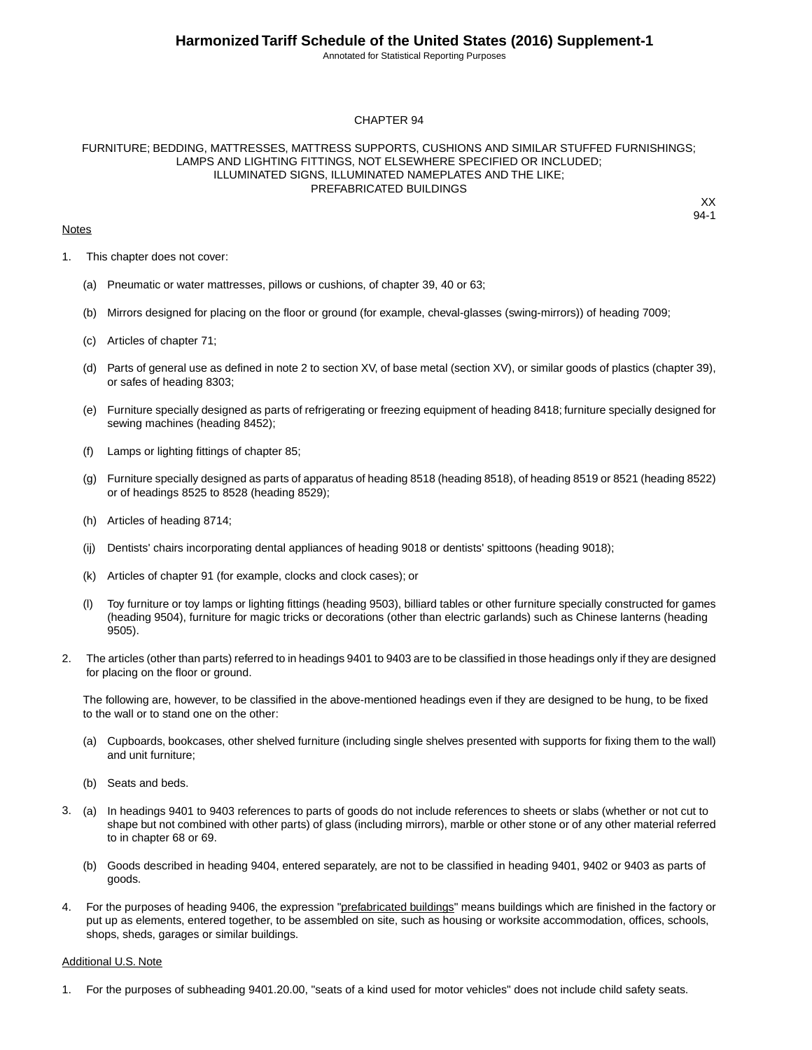Annotated for Statistical Reporting Purposes

#### CHAPTER 94

#### FURNITURE; BEDDING, MATTRESSES, MATTRESS SUPPORTS, CUSHIONS AND SIMILAR STUFFED FURNISHINGS; LAMPS AND LIGHTING FITTINGS, NOT ELSEWHERE SPECIFIED OR INCLUDED; ILLUMINATED SIGNS, ILLUMINATED NAMEPLATES AND THE LIKE; PREFABRICATED BUILDINGS

#### **Notes**

XX 94-1

- 1. This chapter does not cover:
	- (a) Pneumatic or water mattresses, pillows or cushions, of chapter 39, 40 or 63;
	- (b) Mirrors designed for placing on the floor or ground (for example, cheval-glasses (swing-mirrors)) of heading 7009;
	- (c) Articles of chapter 71;
	- (d) Parts of general use as defined in note 2 to section XV, of base metal (section XV), or similar goods of plastics (chapter 39), or safes of heading 8303;
	- (e) Furniture specially designed as parts of refrigerating or freezing equipment of heading 8418; furniture specially designed for sewing machines (heading 8452);
	- (f) Lamps or lighting fittings of chapter 85;
	- (g) Furniture specially designed as parts of apparatus of heading 8518 (heading 8518), of heading 8519 or 8521 (heading 8522) or of headings 8525 to 8528 (heading 8529);
	- (h) Articles of heading 8714;
	- (ij) Dentists' chairs incorporating dental appliances of heading 9018 or dentists' spittoons (heading 9018);
	- (k) Articles of chapter 91 (for example, clocks and clock cases); or
	- (l) Toy furniture or toy lamps or lighting fittings (heading 9503), billiard tables or other furniture specially constructed for games (heading 9504), furniture for magic tricks or decorations (other than electric garlands) such as Chinese lanterns (heading 9505).
- 2. The articles (other than parts) referred to in headings 9401 to 9403 are to be classified in those headings only if they are designed for placing on the floor or ground.

The following are, however, to be classified in the above-mentioned headings even if they are designed to be hung, to be fixed to the wall or to stand one on the other:

- (a) Cupboards, bookcases, other shelved furniture (including single shelves presented with supports for fixing them to the wall) and unit furniture;
- (b) Seats and beds.
- 3. (a) In headings 9401 to 9403 references to parts of goods do not include references to sheets or slabs (whether or not cut to shape but not combined with other parts) of glass (including mirrors), marble or other stone or of any other material referred to in chapter 68 or 69.
	- (b) Goods described in heading 9404, entered separately, are not to be classified in heading 9401, 9402 or 9403 as parts of goods.
- 4. For the purposes of heading 9406, the expression "prefabricated buildings" means buildings which are finished in the factory or put up as elements, entered together, to be assembled on site, such as housing or worksite accommodation, offices, schools, shops, sheds, garages or similar buildings.

#### Additional U.S. Note

1. For the purposes of subheading 9401.20.00, "seats of a kind used for motor vehicles" does not include child safety seats.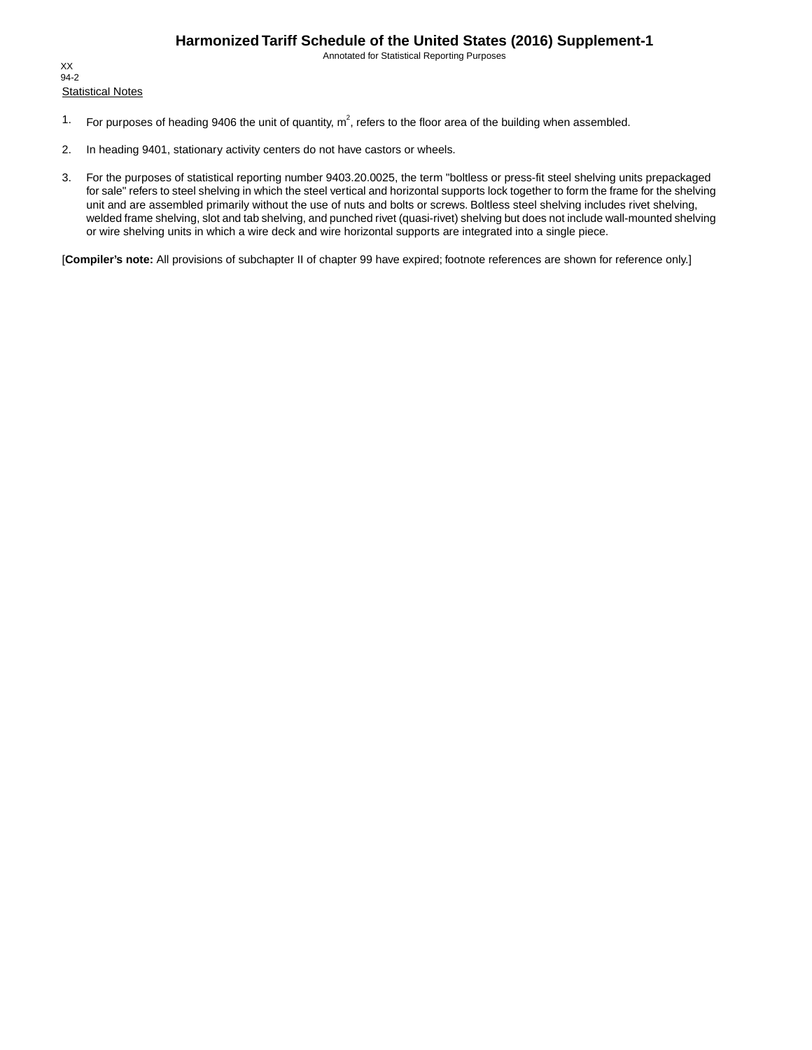Annotated for Statistical Reporting Purposes

**Statistical Notes** XX 94-2

- 1. For purposes of heading 9406 the unit of quantity,  $m^2$ , refers to the floor area of the building when assembled.
- 2. In heading 9401, stationary activity centers do not have castors or wheels.
- 3. For the purposes of statistical reporting number 9403.20.0025, the term "boltless or press-fit steel shelving units prepackaged for sale" refers to steel shelving in which the steel vertical and horizontal supports lock together to form the frame for the shelving unit and are assembled primarily without the use of nuts and bolts or screws. Boltless steel shelving includes rivet shelving, welded frame shelving, slot and tab shelving, and punched rivet (quasi-rivet) shelving but does not include wall-mounted shelving or wire shelving units in which a wire deck and wire horizontal supports are integrated into a single piece.

[**Compiler's note:** All provisions of subchapter II of chapter 99 have expired; footnote references are shown for reference only.]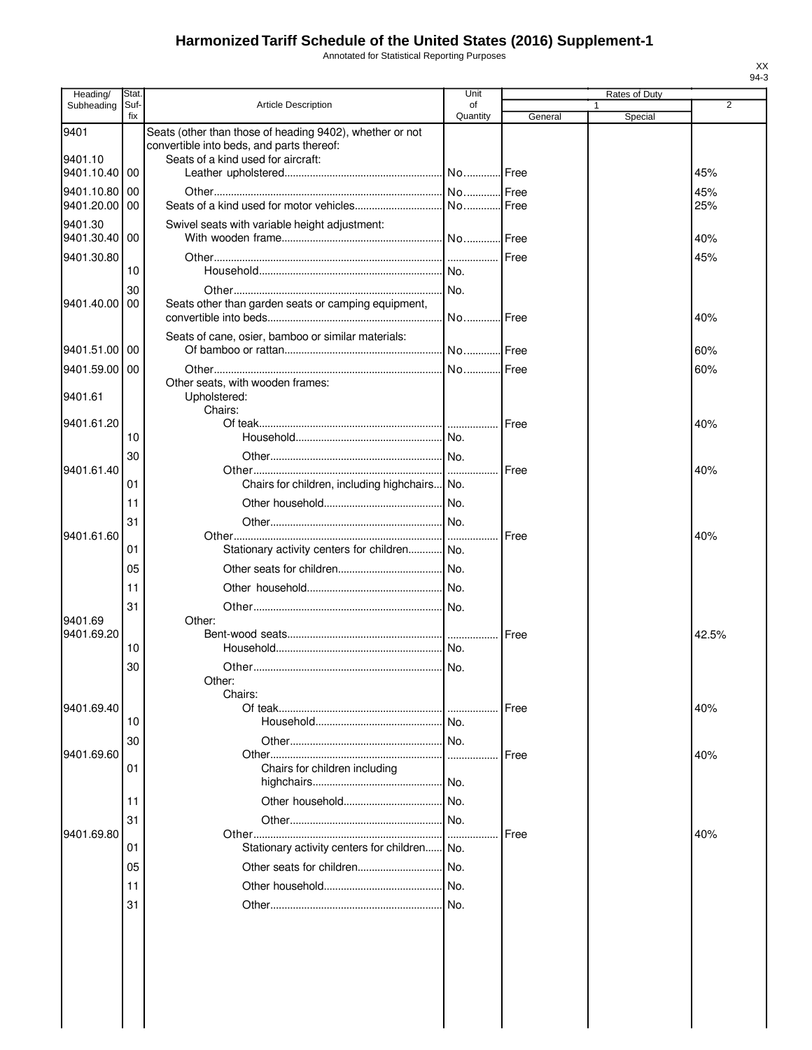Annotated for Statistical Reporting Purposes

| Heading/                 | Stat.       |                                                                                                       | Unit           |         | Rates of Duty |       |
|--------------------------|-------------|-------------------------------------------------------------------------------------------------------|----------------|---------|---------------|-------|
| Subheading               | Suf-<br>fix | <b>Article Description</b>                                                                            | οf<br>Quantity | General | Special       | 2     |
| 9401                     |             | Seats (other than those of heading 9402), whether or not<br>convertible into beds, and parts thereof: |                |         |               |       |
| 9401.10<br>9401.10.40 00 |             | Seats of a kind used for aircraft:                                                                    |                |         |               | 45%   |
| 9401.10.80               | 00          |                                                                                                       |                |         |               | 45%   |
| 9401.20.00               | 00          |                                                                                                       |                |         |               | 25%   |
| 9401.30<br>9401.30.40 00 |             | Swivel seats with variable height adjustment:                                                         |                |         |               | 40%   |
| 9401.30.80               |             |                                                                                                       |                | Free    |               | 45%   |
|                          | 10          |                                                                                                       | No.            |         |               |       |
| 9401.40.00               | 30<br>00    | Seats other than garden seats or camping equipment,                                                   | No.            | Free    |               | 40%   |
|                          |             | Seats of cane, osier, bamboo or similar materials:                                                    |                |         |               |       |
| 9401.51.00 00            |             |                                                                                                       |                |         |               | 60%   |
| 9401.59.00               | 00          |                                                                                                       | No             | Free    |               | 60%   |
| 9401.61                  |             | Other seats, with wooden frames:<br>Upholstered:                                                      |                |         |               |       |
| 9401.61.20               |             | Chairs:                                                                                               |                | Free    |               | 40%   |
|                          | 10          |                                                                                                       |                |         |               |       |
|                          | 30          |                                                                                                       |                |         |               |       |
| 9401.61.40               |             |                                                                                                       |                | Free    |               | 40%   |
|                          | 01          | Chairs for children, including highchairs No.                                                         |                |         |               |       |
|                          | 11          |                                                                                                       |                |         |               |       |
|                          | 31          |                                                                                                       |                |         |               |       |
| 9401.61.60               |             |                                                                                                       |                | Free    |               | 40%   |
|                          | 01          | Stationary activity centers for children No.                                                          |                |         |               |       |
|                          | 05          |                                                                                                       |                |         |               |       |
|                          | 11          |                                                                                                       |                |         |               |       |
|                          | 31          |                                                                                                       |                |         |               |       |
| 9401.69                  |             | Other:                                                                                                |                |         |               |       |
| 9401.69.20               |             |                                                                                                       |                | Free    |               | 42.5% |
|                          | 10          |                                                                                                       |                |         |               |       |
|                          | 30          |                                                                                                       |                |         |               |       |
|                          |             | Other:                                                                                                |                |         |               |       |
| 9401.69.40               |             | Chairs:                                                                                               | .              | Free    |               | 40%   |
|                          | 10          |                                                                                                       | No.            |         |               |       |
|                          | 30          |                                                                                                       |                |         |               |       |
| 9401.69.60               |             |                                                                                                       |                | Free    |               | 40%   |
|                          | 01          | Chairs for children including                                                                         |                |         |               |       |
|                          | 11          |                                                                                                       | No.            |         |               |       |
|                          | 31          |                                                                                                       | No.            |         |               |       |
| 9401.69.80               |             |                                                                                                       | .              | Free    |               | 40%   |
|                          | 01          | Stationary activity centers for children                                                              | No.            |         |               |       |
|                          | 05          |                                                                                                       | No.            |         |               |       |
|                          | 11          |                                                                                                       |                |         |               |       |
|                          | 31          |                                                                                                       |                |         |               |       |
|                          |             |                                                                                                       |                |         |               |       |
|                          |             |                                                                                                       |                |         |               |       |
|                          |             |                                                                                                       |                |         |               |       |
|                          |             |                                                                                                       |                |         |               |       |
|                          |             |                                                                                                       |                |         |               |       |
|                          |             |                                                                                                       |                |         |               |       |
|                          |             |                                                                                                       |                |         |               |       |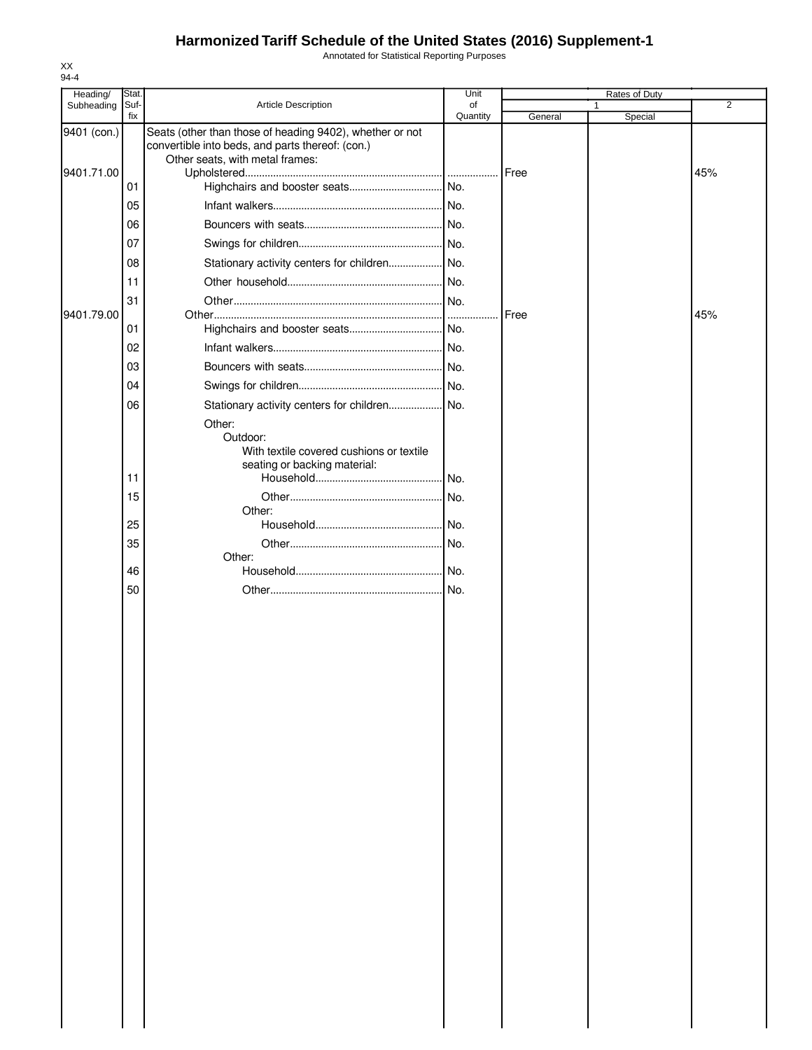Annotated for Statistical Reporting Purposes

| 94-4                      |               |                                                                                                                                                 |            |         |                    |     |
|---------------------------|---------------|-------------------------------------------------------------------------------------------------------------------------------------------------|------------|---------|--------------------|-----|
| Heading/<br>Subheading    | Stat.<br>Suf- | Article Description                                                                                                                             | Unit<br>of |         | Rates of Duty<br>1 | 2   |
|                           | fix           |                                                                                                                                                 | Quantity   | General | Special            |     |
| 9401 (con.)<br>9401.71.00 |               | Seats (other than those of heading 9402), whether or not<br>convertible into beds, and parts thereof: (con.)<br>Other seats, with metal frames: |            |         |                    |     |
|                           | 01            |                                                                                                                                                 |            | Free    |                    | 45% |
|                           | 05            |                                                                                                                                                 |            |         |                    |     |
|                           | 06            |                                                                                                                                                 |            |         |                    |     |
|                           | 07            |                                                                                                                                                 |            |         |                    |     |
|                           | 08            | Stationary activity centers for children No.                                                                                                    |            |         |                    |     |
|                           | 11            |                                                                                                                                                 |            |         |                    |     |
|                           | 31            |                                                                                                                                                 |            |         |                    |     |
| 9401.79.00                |               |                                                                                                                                                 | 1.1.1.1.1  | Free    |                    | 45% |
|                           | 01            |                                                                                                                                                 |            |         |                    |     |
|                           | 02            |                                                                                                                                                 |            |         |                    |     |
|                           | 03            |                                                                                                                                                 |            |         |                    |     |
|                           | 04            |                                                                                                                                                 |            |         |                    |     |
|                           | 06            | Stationary activity centers for children No.                                                                                                    |            |         |                    |     |
|                           |               | Other:<br>Outdoor:<br>With textile covered cushions or textile<br>seating or backing material:                                                  |            |         |                    |     |
|                           | 11            |                                                                                                                                                 |            |         |                    |     |
|                           | 15            |                                                                                                                                                 |            |         |                    |     |
|                           |               | Other:                                                                                                                                          |            |         |                    |     |
|                           | 25            |                                                                                                                                                 |            |         |                    |     |
|                           | 35            | Other:                                                                                                                                          |            |         |                    |     |
|                           | 46            |                                                                                                                                                 |            |         |                    |     |
|                           | 50            |                                                                                                                                                 |            |         |                    |     |
|                           |               |                                                                                                                                                 |            |         |                    |     |
|                           |               |                                                                                                                                                 |            |         |                    |     |
|                           |               |                                                                                                                                                 |            |         |                    |     |
|                           |               |                                                                                                                                                 |            |         |                    |     |
|                           |               |                                                                                                                                                 |            |         |                    |     |
|                           |               |                                                                                                                                                 |            |         |                    |     |
|                           |               |                                                                                                                                                 |            |         |                    |     |
|                           |               |                                                                                                                                                 |            |         |                    |     |
|                           |               |                                                                                                                                                 |            |         |                    |     |
|                           |               |                                                                                                                                                 |            |         |                    |     |
|                           |               |                                                                                                                                                 |            |         |                    |     |
|                           |               |                                                                                                                                                 |            |         |                    |     |
|                           |               |                                                                                                                                                 |            |         |                    |     |
|                           |               |                                                                                                                                                 |            |         |                    |     |
|                           |               |                                                                                                                                                 |            |         |                    |     |
|                           |               |                                                                                                                                                 |            |         |                    |     |
|                           |               |                                                                                                                                                 |            |         |                    |     |
|                           |               |                                                                                                                                                 |            |         |                    |     |
|                           |               |                                                                                                                                                 |            |         |                    |     |
|                           |               |                                                                                                                                                 |            |         |                    |     |
|                           |               |                                                                                                                                                 |            |         |                    |     |
|                           |               |                                                                                                                                                 |            |         |                    |     |
|                           |               |                                                                                                                                                 |            |         |                    |     |
|                           |               |                                                                                                                                                 |            |         |                    |     |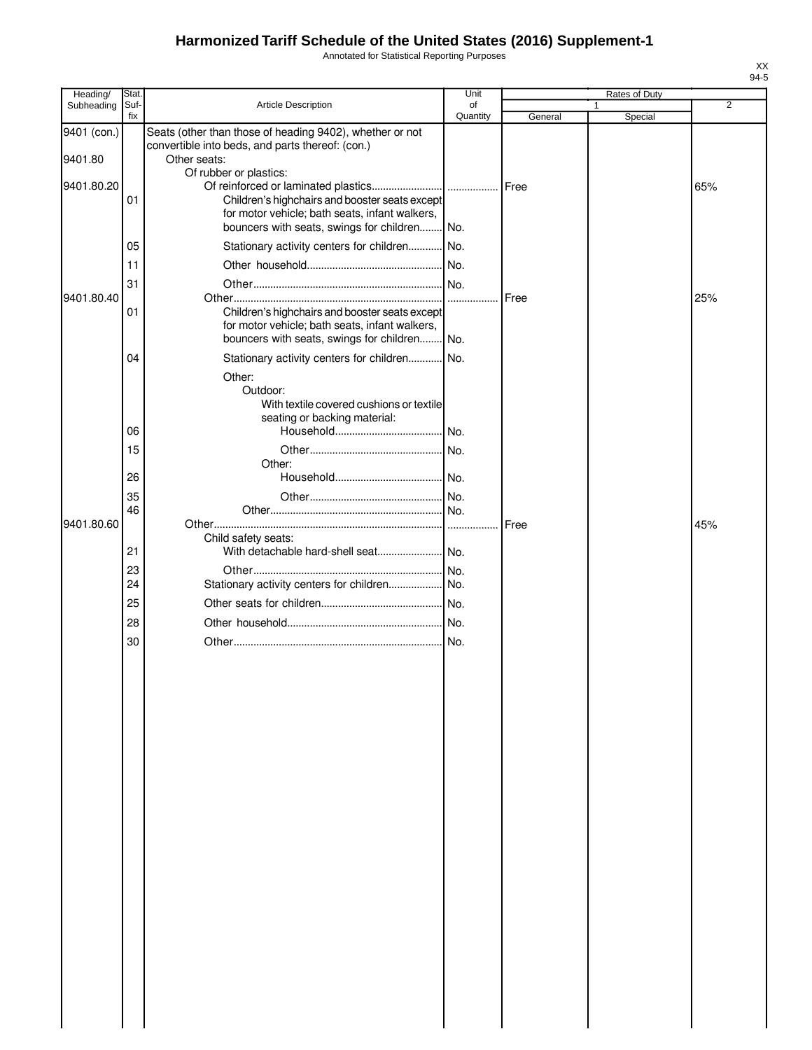Annotated for Statistical Reporting Purposes

| Heading/               | Stat.       |                                                                                                                                                  | Unit           |         | Rates of Duty |                |
|------------------------|-------------|--------------------------------------------------------------------------------------------------------------------------------------------------|----------------|---------|---------------|----------------|
| Subheading             | Suf-<br>fix | Article Description                                                                                                                              | of<br>Quantity | General | 1<br>Special  | $\overline{2}$ |
| 9401 (con.)<br>9401.80 |             | Seats (other than those of heading 9402), whether or not<br>convertible into beds, and parts thereof: (con.)<br>Other seats:                     |                |         |               |                |
| 9401.80.20             | 01          | Of rubber or plastics:<br>Children's highchairs and booster seats except                                                                         |                |         |               | 65%            |
|                        | 05          | for motor vehicle; bath seats, infant walkers,<br>bouncers with seats, swings for children No.<br>Stationary activity centers for children No.   |                |         |               |                |
|                        |             |                                                                                                                                                  |                |         |               |                |
|                        | 11          |                                                                                                                                                  |                |         |               |                |
| 9401.80.40             | 31          |                                                                                                                                                  |                | Free    |               | 25%            |
|                        | 01          | Children's highchairs and booster seats except<br>for motor vehicle; bath seats, infant walkers,<br>bouncers with seats, swings for children No. |                |         |               |                |
|                        | 04          | Stationary activity centers for children No.                                                                                                     |                |         |               |                |
|                        |             | Other:                                                                                                                                           |                |         |               |                |
|                        | 06          | Outdoor:<br>With textile covered cushions or textile<br>seating or backing material:                                                             |                |         |               |                |
|                        | 15          |                                                                                                                                                  |                |         |               |                |
|                        | 26          | Other:                                                                                                                                           |                |         |               |                |
|                        | 35          |                                                                                                                                                  |                |         |               |                |
|                        | 46          |                                                                                                                                                  |                |         |               |                |
| 9401.80.60             |             |                                                                                                                                                  |                | Free    |               | 45%            |
|                        | 21          | Child safety seats:                                                                                                                              |                |         |               |                |
|                        | 23          |                                                                                                                                                  |                |         |               |                |
|                        | 24          |                                                                                                                                                  |                |         |               |                |
|                        | 25          |                                                                                                                                                  |                |         |               |                |
|                        | 28          |                                                                                                                                                  |                |         |               |                |
|                        | 30          |                                                                                                                                                  |                |         |               |                |
|                        |             |                                                                                                                                                  |                |         |               |                |
|                        |             |                                                                                                                                                  |                |         |               |                |
|                        |             |                                                                                                                                                  |                |         |               |                |
|                        |             |                                                                                                                                                  |                |         |               |                |
|                        |             |                                                                                                                                                  |                |         |               |                |
|                        |             |                                                                                                                                                  |                |         |               |                |
|                        |             |                                                                                                                                                  |                |         |               |                |
|                        |             |                                                                                                                                                  |                |         |               |                |
|                        |             |                                                                                                                                                  |                |         |               |                |
|                        |             |                                                                                                                                                  |                |         |               |                |
|                        |             |                                                                                                                                                  |                |         |               |                |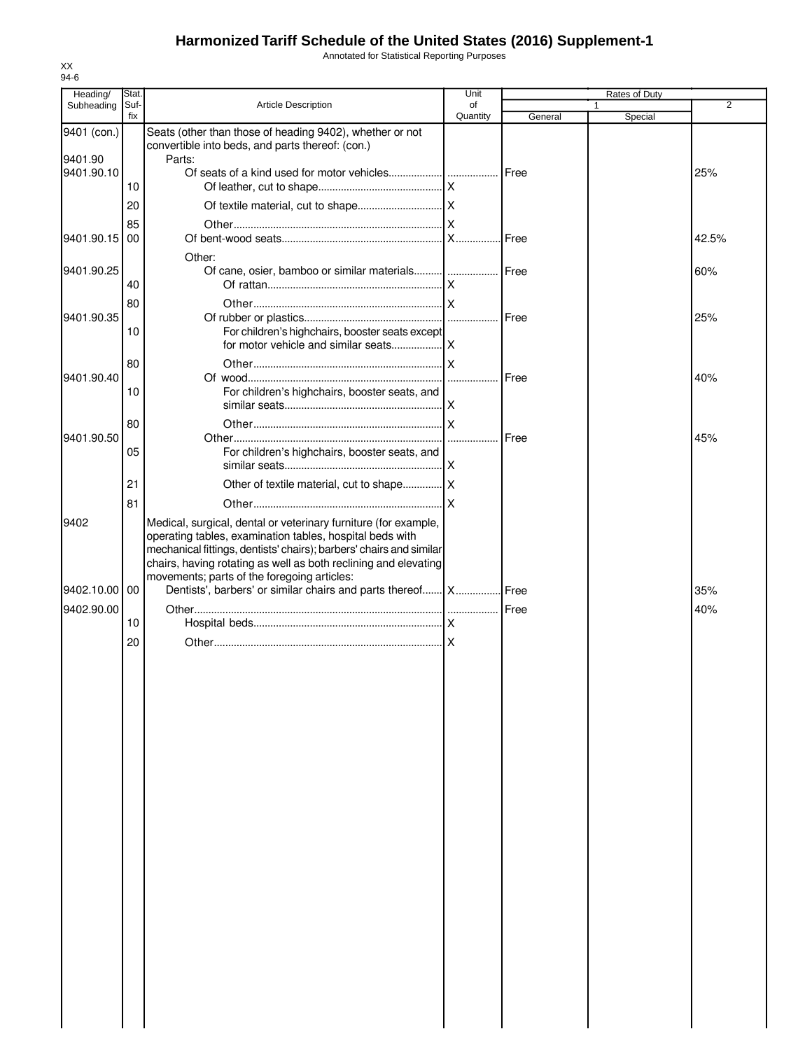Annotated for Statistical Reporting Purposes

| Heading/              | Stat.       |                                                                                                               | Unit           |              | Rates of Duty |       |
|-----------------------|-------------|---------------------------------------------------------------------------------------------------------------|----------------|--------------|---------------|-------|
| Subheading            | Suf-<br>fix | Article Description                                                                                           | of<br>Quantity | General      | 1<br>Special  | 2     |
| 9401 (con.)           |             | Seats (other than those of heading 9402), whether or not                                                      |                |              |               |       |
|                       |             | convertible into beds, and parts thereof: (con.)                                                              |                |              |               |       |
| 9401.90<br>9401.90.10 |             | Parts:                                                                                                        |                |              |               |       |
|                       | 10          |                                                                                                               |                | Free         |               | 25%   |
|                       | 20          |                                                                                                               |                |              |               |       |
|                       |             |                                                                                                               |                |              |               |       |
| 9401.90.15            | 85<br>00    |                                                                                                               |                |              |               | 42.5% |
|                       |             |                                                                                                               |                |              |               |       |
| 9401.90.25            |             | Other:                                                                                                        |                |              |               | 60%   |
|                       | 40          |                                                                                                               |                |              |               |       |
|                       | 80          |                                                                                                               |                |              |               |       |
| 9401.90.35            |             |                                                                                                               |                | Free         |               | 25%   |
|                       | 10          | For children's highchairs, booster seats except                                                               |                |              |               |       |
|                       |             |                                                                                                               |                |              |               |       |
|                       | 80          |                                                                                                               |                |              |               |       |
| 9401.90.40            |             |                                                                                                               |                | <b>IFree</b> |               | 40%   |
|                       | 10          | For children's highchairs, booster seats, and                                                                 |                |              |               |       |
|                       |             |                                                                                                               |                |              |               |       |
| 9401.90.50            | 80          |                                                                                                               |                | Free         |               | 45%   |
|                       | 05          | For children's highchairs, booster seats, and                                                                 |                |              |               |       |
|                       |             |                                                                                                               |                |              |               |       |
|                       | 21          |                                                                                                               |                |              |               |       |
|                       | 81          |                                                                                                               |                |              |               |       |
| 9402                  |             | Medical, surgical, dental or veterinary furniture (for example,                                               |                |              |               |       |
|                       |             | operating tables, examination tables, hospital beds with                                                      |                |              |               |       |
|                       |             | mechanical fittings, dentists' chairs); barbers' chairs and similar                                           |                |              |               |       |
|                       |             | chairs, having rotating as well as both reclining and elevating                                               |                |              |               |       |
| 9402.10.00 00         |             | movements; parts of the foregoing articles:<br>Dentists', barbers' or similar chairs and parts thereof X Free |                |              |               | 35%   |
|                       |             |                                                                                                               |                |              |               |       |
| 9402.90.00            | 10          |                                                                                                               |                |              |               | 40%   |
|                       |             |                                                                                                               |                |              |               |       |
|                       | 20          |                                                                                                               |                |              |               |       |
|                       |             |                                                                                                               |                |              |               |       |
|                       |             |                                                                                                               |                |              |               |       |
|                       |             |                                                                                                               |                |              |               |       |
|                       |             |                                                                                                               |                |              |               |       |
|                       |             |                                                                                                               |                |              |               |       |
|                       |             |                                                                                                               |                |              |               |       |
|                       |             |                                                                                                               |                |              |               |       |
|                       |             |                                                                                                               |                |              |               |       |
|                       |             |                                                                                                               |                |              |               |       |
|                       |             |                                                                                                               |                |              |               |       |
|                       |             |                                                                                                               |                |              |               |       |
|                       |             |                                                                                                               |                |              |               |       |
|                       |             |                                                                                                               |                |              |               |       |
|                       |             |                                                                                                               |                |              |               |       |
|                       |             |                                                                                                               |                |              |               |       |
|                       |             |                                                                                                               |                |              |               |       |
|                       |             |                                                                                                               |                |              |               |       |
|                       |             |                                                                                                               |                |              |               |       |
|                       |             |                                                                                                               |                |              |               |       |
|                       |             |                                                                                                               |                |              |               |       |
|                       |             |                                                                                                               |                |              |               |       |
|                       |             |                                                                                                               |                |              |               |       |
|                       |             |                                                                                                               |                |              |               |       |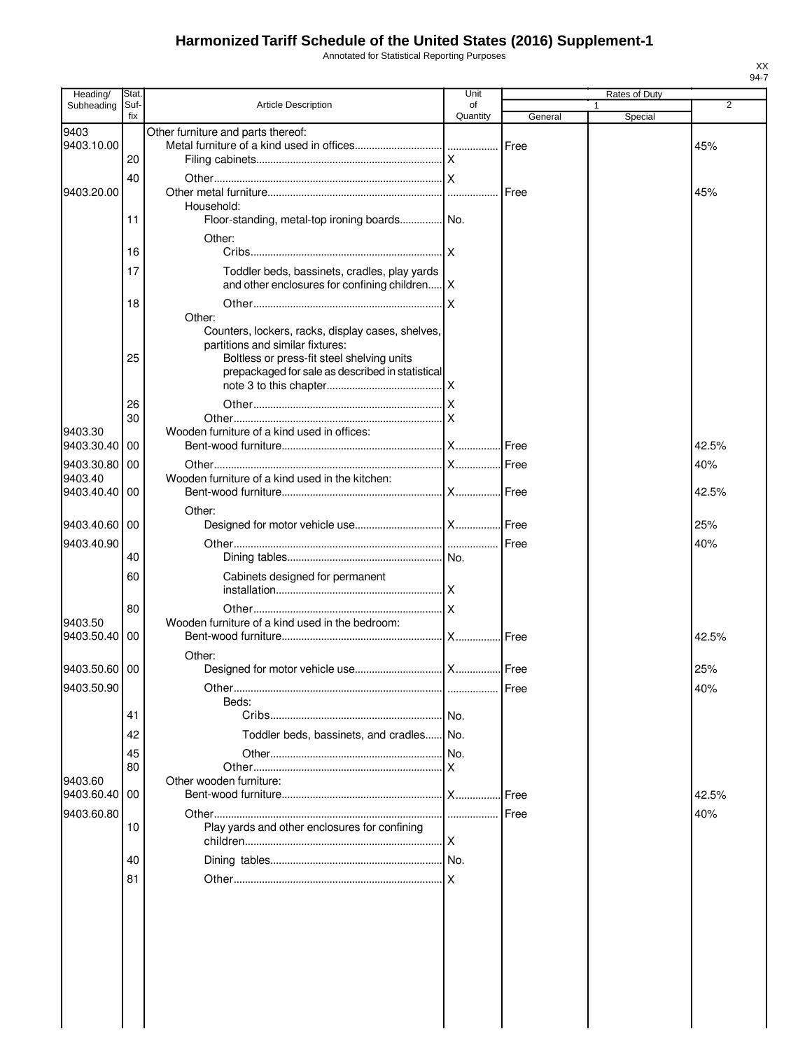Annotated for Statistical Reporting Purposes

| Heading/              | Stat.       |                                                             | Unit           |         | Rates of Duty |                |
|-----------------------|-------------|-------------------------------------------------------------|----------------|---------|---------------|----------------|
| Subheading            | Suf-<br>fix | <b>Article Description</b>                                  | of<br>Quantity | General | 1<br>Special  | $\overline{2}$ |
| 9403                  |             | Other furniture and parts thereof:                          |                |         |               |                |
| 9403.10.00            |             |                                                             |                |         |               | 45%            |
|                       | 20          |                                                             |                |         |               |                |
|                       | 40          |                                                             |                |         |               |                |
| 9403.20.00            |             |                                                             |                |         |               | 45%            |
|                       |             | Household:                                                  |                |         |               |                |
|                       | 11          | Floor-standing, metal-top ironing boards No.                |                |         |               |                |
|                       |             | Other:                                                      |                |         |               |                |
|                       | 16          |                                                             |                |         |               |                |
|                       | 17          | Toddler beds, bassinets, cradles, play yards                |                |         |               |                |
|                       |             | and other enclosures for confining children   X             |                |         |               |                |
|                       | 18          |                                                             |                |         |               |                |
|                       |             | Other:<br>Counters, lockers, racks, display cases, shelves, |                |         |               |                |
|                       |             | partitions and similar fixtures:                            |                |         |               |                |
|                       | 25          | Boltless or press-fit steel shelving units                  |                |         |               |                |
|                       |             | prepackaged for sale as described in statistical            |                |         |               |                |
|                       |             |                                                             |                |         |               |                |
|                       | 26          |                                                             |                |         |               |                |
|                       | 30          |                                                             |                |         |               |                |
| 9403.30<br>9403.30.40 | 00          | Wooden furniture of a kind used in offices:                 |                |         |               | 42.5%          |
|                       |             |                                                             |                |         |               |                |
| 9403.30.80<br>9403.40 | 00          | Wooden furniture of a kind used in the kitchen:             |                |         |               | 40%            |
| 9403.40.40            | 00          |                                                             |                |         |               | 42.5%          |
|                       |             | Other:                                                      |                |         |               |                |
| 9403.40.60 00         |             |                                                             |                |         |               | 25%            |
| 9403.40.90            |             |                                                             |                |         |               | 40%            |
|                       | 40          |                                                             |                |         |               |                |
|                       | 60          | Cabinets designed for permanent                             |                |         |               |                |
|                       |             |                                                             |                |         |               |                |
|                       | 80          |                                                             |                |         |               |                |
| 9403.50               |             | Wooden furniture of a kind used in the bedroom:             |                |         |               |                |
| 9403.50.40            | 00          |                                                             |                |         |               | 42.5%          |
|                       |             | Other:                                                      |                |         |               |                |
| 9403.50.60 00         |             |                                                             |                |         |               | 25%            |
| 9403.50.90            |             |                                                             |                | Free    |               | 40%            |
|                       |             | Beds:                                                       |                |         |               |                |
|                       | 41          |                                                             |                |         |               |                |
|                       | 42          | Toddler beds, bassinets, and cradles No.                    |                |         |               |                |
|                       | 45          |                                                             |                |         |               |                |
|                       | 80          |                                                             |                |         |               |                |
| 9403.60<br>9403.60.40 | 00          | Other wooden furniture:                                     |                |         |               | 42.5%          |
|                       |             |                                                             |                |         |               |                |
| 9403.60.80            | 10          | Play yards and other enclosures for confining               |                |         |               | 40%            |
|                       |             |                                                             |                |         |               |                |
|                       | 40          |                                                             |                |         |               |                |
|                       |             |                                                             |                |         |               |                |
|                       | 81          |                                                             |                |         |               |                |
|                       |             |                                                             |                |         |               |                |
|                       |             |                                                             |                |         |               |                |
|                       |             |                                                             |                |         |               |                |
|                       |             |                                                             |                |         |               |                |
|                       |             |                                                             |                |         |               |                |
|                       |             |                                                             |                |         |               |                |
|                       |             |                                                             |                |         |               |                |
|                       |             |                                                             |                |         |               |                |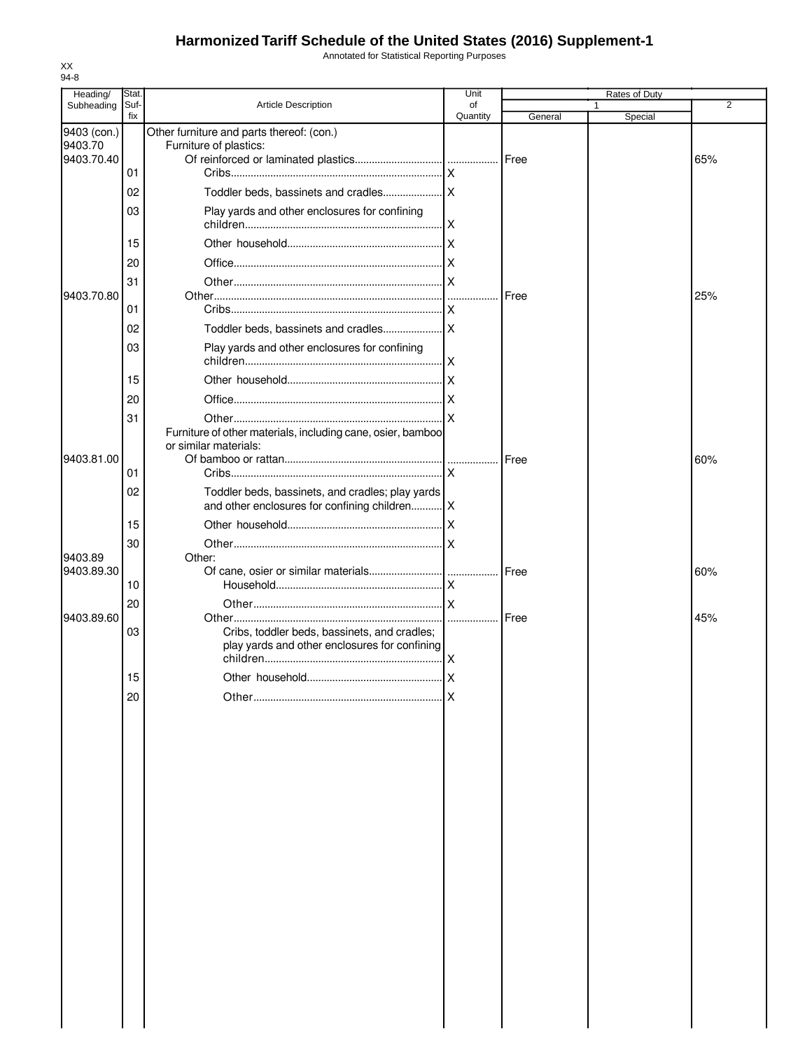Annotated for Statistical Reporting Purposes

| Heading/    | Stat.       |                                                                                                   | Unit                    |         | Rates of Duty |     |
|-------------|-------------|---------------------------------------------------------------------------------------------------|-------------------------|---------|---------------|-----|
| Subheading  | Suf-<br>fix | <b>Article Description</b>                                                                        | of<br>Quantity          | General | Special       | 2   |
| 9403 (con.) |             | Other furniture and parts thereof: (con.)                                                         |                         |         |               |     |
| 9403.70     |             | Furniture of plastics:                                                                            |                         |         |               |     |
| 9403.70.40  | 01          |                                                                                                   | $\mathsf{x}$            |         |               | 65% |
|             |             |                                                                                                   |                         |         |               |     |
|             | 02          |                                                                                                   |                         |         |               |     |
|             | 03          | Play yards and other enclosures for confining                                                     |                         |         |               |     |
|             | 15          |                                                                                                   |                         |         |               |     |
|             | 20          |                                                                                                   |                         |         |               |     |
|             | 31          |                                                                                                   |                         |         |               |     |
| 9403.70.80  |             |                                                                                                   |                         | Free    |               | 25% |
|             | 01          |                                                                                                   | ΙX                      |         |               |     |
|             | 02          |                                                                                                   |                         |         |               |     |
|             | 03          | Play yards and other enclosures for confining                                                     |                         |         |               |     |
|             |             |                                                                                                   | $\overline{\mathsf{x}}$ |         |               |     |
|             | 15          |                                                                                                   |                         |         |               |     |
|             | 20          |                                                                                                   |                         |         |               |     |
|             | 31          | Furniture of other materials, including cane, osier, bamboo                                       |                         |         |               |     |
|             |             | or similar materials:                                                                             |                         |         |               |     |
| 9403.81.00  |             |                                                                                                   |                         | Free    |               | 60% |
|             | 01          |                                                                                                   |                         |         |               |     |
|             | 02          | Toddler beds, bassinets, and cradles; play yards<br>and other enclosures for confining children X |                         |         |               |     |
|             | 15          |                                                                                                   |                         |         |               |     |
|             | 30          |                                                                                                   |                         |         |               |     |
| 9403.89     |             | Other:                                                                                            |                         |         |               |     |
| 9403.89.30  | 10          |                                                                                                   |                         | Free    |               | 60% |
|             | 20          |                                                                                                   |                         |         |               |     |
| 9403.89.60  |             |                                                                                                   | .                       | Free    |               | 45% |
|             | 03          | Cribs, toddler beds, bassinets, and cradles;<br>play yards and other enclosures for confining     | ΙX                      |         |               |     |
|             | 15          | Other household                                                                                   | X                       |         |               |     |
|             |             |                                                                                                   |                         |         |               |     |
|             | 20          |                                                                                                   | ΙX                      |         |               |     |
|             |             |                                                                                                   |                         |         |               |     |
|             |             |                                                                                                   |                         |         |               |     |
|             |             |                                                                                                   |                         |         |               |     |
|             |             |                                                                                                   |                         |         |               |     |
|             |             |                                                                                                   |                         |         |               |     |
|             |             |                                                                                                   |                         |         |               |     |
|             |             |                                                                                                   |                         |         |               |     |
|             |             |                                                                                                   |                         |         |               |     |
|             |             |                                                                                                   |                         |         |               |     |
|             |             |                                                                                                   |                         |         |               |     |
|             |             |                                                                                                   |                         |         |               |     |
|             |             |                                                                                                   |                         |         |               |     |
|             |             |                                                                                                   |                         |         |               |     |
|             |             |                                                                                                   |                         |         |               |     |
|             |             |                                                                                                   |                         |         |               |     |
|             |             |                                                                                                   |                         |         |               |     |
|             |             |                                                                                                   |                         |         |               |     |
|             |             |                                                                                                   |                         |         |               |     |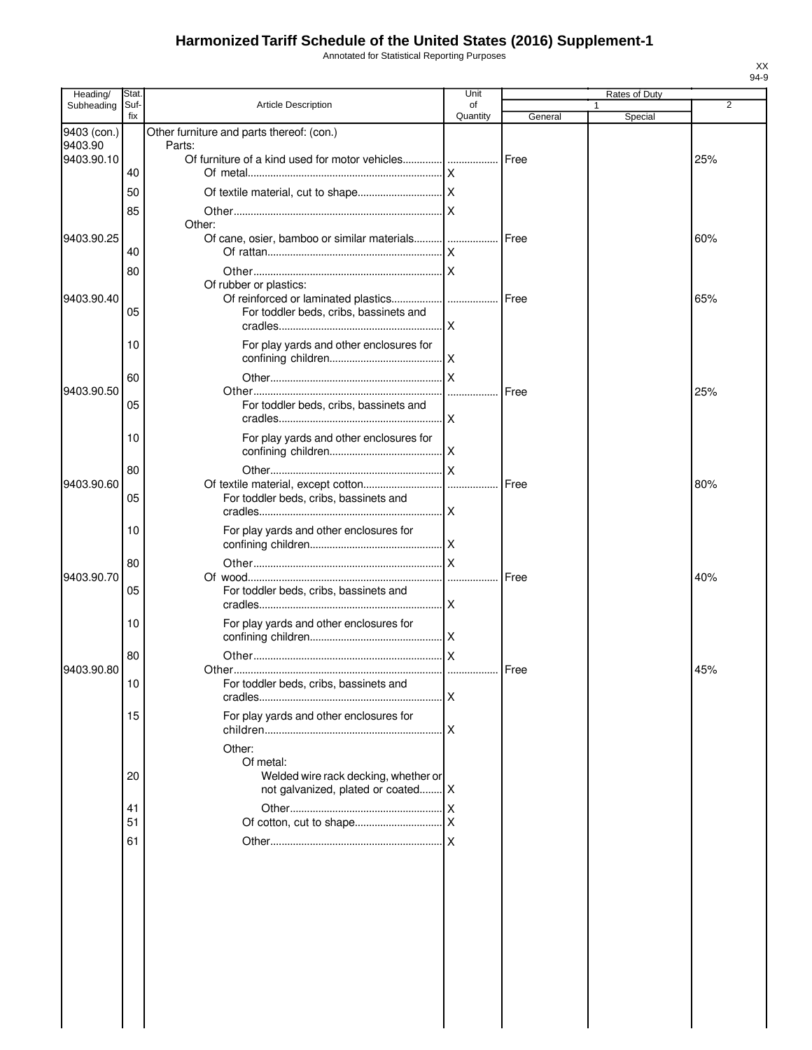Annotated for Statistical Reporting Purposes

| Heading/               | Stat.       |                                                   | Unit     |         | Rates of Duty |                |
|------------------------|-------------|---------------------------------------------------|----------|---------|---------------|----------------|
| Subheading             | Suf-<br>fix | <b>Article Description</b>                        | of       |         |               | $\overline{2}$ |
|                        |             | Other furniture and parts thereof: (con.)         | Quantity | General | Special       |                |
| 9403 (con.)<br>9403.90 |             | Parts:                                            |          |         |               |                |
| 9403.90.10             |             | Of furniture of a kind used for motor vehicles    |          | Free    |               | 25%            |
|                        | 40          |                                                   |          |         |               |                |
|                        | 50          |                                                   |          |         |               |                |
|                        | 85          |                                                   |          |         |               |                |
|                        |             | Other:                                            |          |         |               |                |
| 9403.90.25             |             | Of cane, osier, bamboo or similar materials  Free |          |         |               | 60%            |
|                        | 40          |                                                   |          |         |               |                |
|                        | 80          |                                                   |          |         |               |                |
|                        |             | Of rubber or plastics:                            |          |         |               |                |
| 9403.90.40             |             |                                                   |          |         |               | 65%            |
|                        | 05          | For toddler beds, cribs, bassinets and            |          |         |               |                |
|                        |             |                                                   |          |         |               |                |
|                        | 10          | For play yards and other enclosures for           |          |         |               |                |
|                        |             |                                                   |          |         |               |                |
|                        | 60          |                                                   |          |         |               |                |
| 9403.90.50             |             |                                                   |          | Free    |               | 25%            |
|                        | 05          | For toddler beds, cribs, bassinets and            |          |         |               |                |
|                        |             |                                                   | .IX      |         |               |                |
|                        | 10          | For play yards and other enclosures for           |          |         |               |                |
|                        |             |                                                   |          |         |               |                |
|                        | 80          |                                                   |          |         |               |                |
| 9403.90.60             |             |                                                   |          |         |               | 80%            |
|                        | 05          | For toddler beds, cribs, bassinets and            |          |         |               |                |
|                        |             |                                                   |          |         |               |                |
|                        | 10          | For play yards and other enclosures for           |          |         |               |                |
|                        |             |                                                   |          |         |               |                |
|                        | 80          |                                                   |          |         |               |                |
| 9403.90.70             |             |                                                   |          | Free    |               | 40%            |
|                        | 05          | For toddler beds, cribs, bassinets and            |          |         |               |                |
|                        |             |                                                   |          |         |               |                |
|                        | 10          | For play yards and other enclosures for           |          |         |               |                |
|                        |             |                                                   |          |         |               |                |
| 9403.90.80             | 80          |                                                   |          | Free    |               | 45%            |
|                        | 10          | For toddler beds, cribs, bassinets and            |          |         |               |                |
|                        |             |                                                   | <b>X</b> |         |               |                |
|                        | 15          | For play yards and other enclosures for           |          |         |               |                |
|                        |             |                                                   |          |         |               |                |
|                        |             | Other:                                            |          |         |               |                |
|                        |             | Of metal:                                         |          |         |               |                |
|                        | 20          | Welded wire rack decking, whether or              |          |         |               |                |
|                        |             | not galvanized, plated or coated X                |          |         |               |                |
|                        | 41          |                                                   |          |         |               |                |
|                        | 51          |                                                   |          |         |               |                |
|                        | 61          |                                                   |          |         |               |                |
|                        |             |                                                   |          |         |               |                |
|                        |             |                                                   |          |         |               |                |
|                        |             |                                                   |          |         |               |                |
|                        |             |                                                   |          |         |               |                |
|                        |             |                                                   |          |         |               |                |
|                        |             |                                                   |          |         |               |                |
|                        |             |                                                   |          |         |               |                |
|                        |             |                                                   |          |         |               |                |
|                        |             |                                                   |          |         |               |                |
|                        |             |                                                   |          |         |               |                |
|                        |             |                                                   |          |         |               |                |
|                        |             |                                                   |          |         |               |                |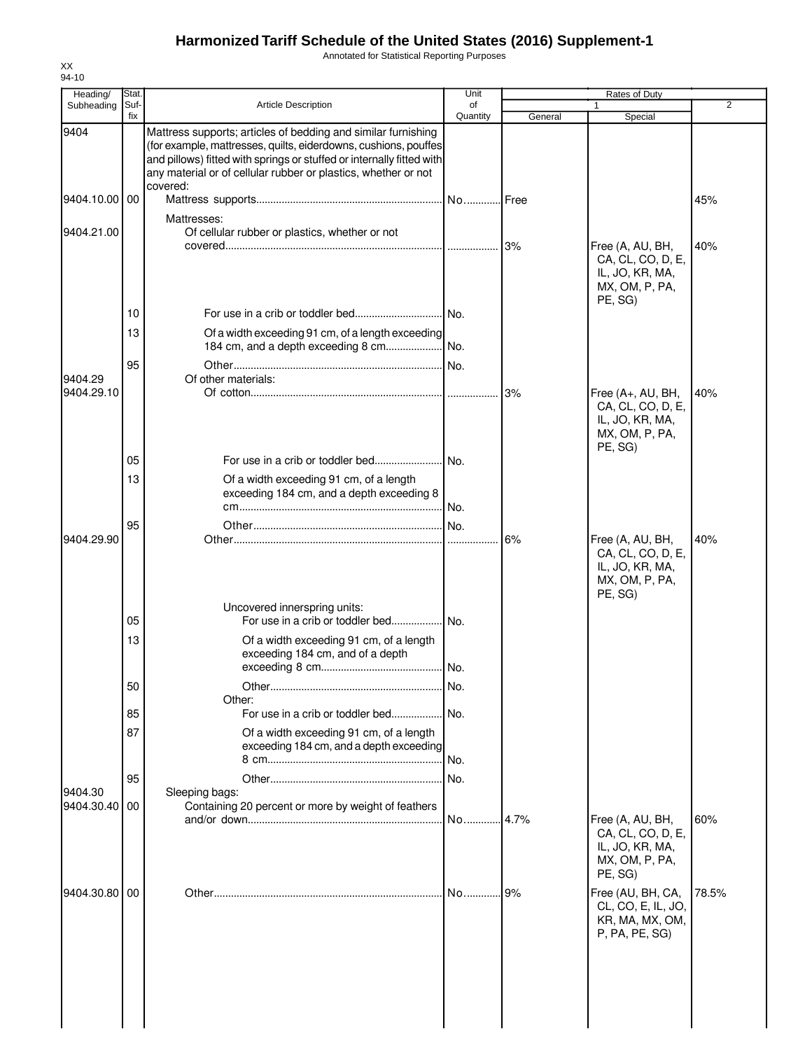Annotated for Statistical Reporting Purposes

| Heading/<br>Subheading | Stat.<br>Suf- | <b>Article Description</b>                                                                                                                                                                                                                                                              | Unit<br>of |         | <b>Rates of Duty</b>                                                                  | 2     |
|------------------------|---------------|-----------------------------------------------------------------------------------------------------------------------------------------------------------------------------------------------------------------------------------------------------------------------------------------|------------|---------|---------------------------------------------------------------------------------------|-------|
|                        | fix           |                                                                                                                                                                                                                                                                                         | Quantity   | General | Special                                                                               |       |
| 9404                   |               | Mattress supports; articles of bedding and similar furnishing<br>(for example, mattresses, quilts, eiderdowns, cushions, pouffes<br>and pillows) fitted with springs or stuffed or internally fitted with<br>any material or of cellular rubber or plastics, whether or not<br>covered: |            |         |                                                                                       |       |
| 9404.10.00 00          |               |                                                                                                                                                                                                                                                                                         | .l No.     | .l Free |                                                                                       | 45%   |
| 9404.21.00             |               | Mattresses:<br>Of cellular rubber or plastics, whether or not                                                                                                                                                                                                                           |            | 3%      | Free (A, AU, BH,<br>CA, CL, CO, D, E,<br>IL, JO, KR, MA,<br>MX, OM, P, PA,            | 40%   |
|                        | 10            |                                                                                                                                                                                                                                                                                         |            |         | PE, SG)                                                                               |       |
|                        | 13            | Of a width exceeding 91 cm, of a length exceeding<br>184 cm, and a depth exceeding 8 cm                                                                                                                                                                                                 | INo.       |         |                                                                                       |       |
| 9404.29<br>9404.29.10  | 95            | Of other materials:                                                                                                                                                                                                                                                                     |            | 3%      | Free (A+, AU, BH,                                                                     | 40%   |
|                        |               |                                                                                                                                                                                                                                                                                         |            |         | CA, CL, CO, D, E,<br>IL, JO, KR, MA,<br>MX, OM, P, PA,<br>PE, SG)                     |       |
|                        | 05            |                                                                                                                                                                                                                                                                                         | .I No.     |         |                                                                                       |       |
|                        | 13            | Of a width exceeding 91 cm, of a length<br>exceeding 184 cm, and a depth exceeding 8                                                                                                                                                                                                    | No.        |         |                                                                                       |       |
| 9404.29.90             | 95            |                                                                                                                                                                                                                                                                                         | .lNo.      | 6%      | Free (A, AU, BH,<br>CA, CL, CO, D, E,<br>IL, JO, KR, MA,<br>MX, OM, P, PA,<br>PE, SG) | 40%   |
|                        | 05            | Uncovered innerspring units:<br>For use in a crib or toddler bed                                                                                                                                                                                                                        | l No.      |         |                                                                                       |       |
|                        | 13            | Of a width exceeding 91 cm, of a length<br>exceeding 184 cm, and of a depth                                                                                                                                                                                                             | l No.      |         |                                                                                       |       |
|                        | 50            | Other:                                                                                                                                                                                                                                                                                  | No.        |         |                                                                                       |       |
|                        | 85            | For use in a crib or toddler bed No.                                                                                                                                                                                                                                                    |            |         |                                                                                       |       |
|                        | 87            | Of a width exceeding 91 cm, of a length<br>exceeding 184 cm, and a depth exceeding                                                                                                                                                                                                      | No.        |         |                                                                                       |       |
| 9404.30                | 95            | Sleeping bags:                                                                                                                                                                                                                                                                          | INo.       |         |                                                                                       |       |
| 9404.30.40             | 00            | Containing 20 percent or more by weight of feathers                                                                                                                                                                                                                                     | No         | 4.7%    | Free (A, AU, BH,<br>CA, CL, CO, D, E,<br>IL, JO, KR, MA,                              | 60%   |
|                        |               |                                                                                                                                                                                                                                                                                         |            |         | MX, OM, P, PA,<br>PE, SG)                                                             |       |
| 9404.30.80 00          |               |                                                                                                                                                                                                                                                                                         | No.        | 9%      | Free (AU, BH, CA,<br>CL, CO, E, IL, JO,<br>KR, MA, MX, OM,<br>P, PA, PE, SG)          | 78.5% |
|                        |               |                                                                                                                                                                                                                                                                                         |            |         |                                                                                       |       |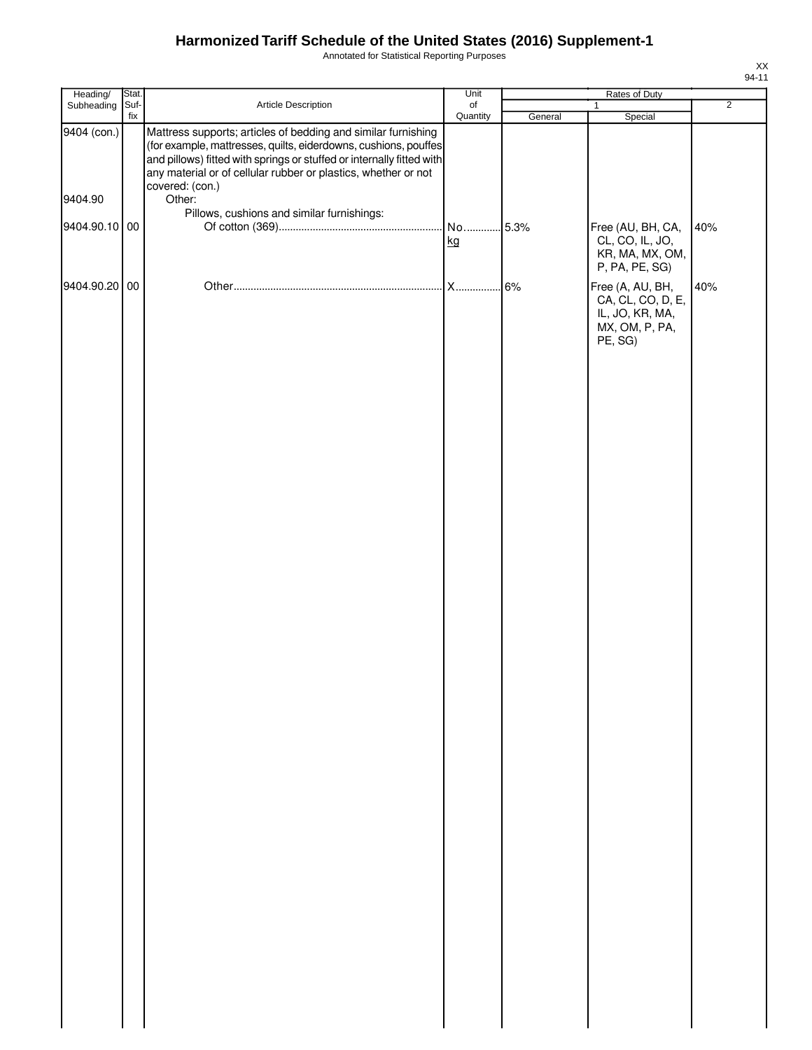Annotated for Statistical Reporting Purposes

| Heading/      | Stat. |                                                                                                                                                                                                                                                                                                | Unit     |         | Rates of Duty                                                                                           |                |
|---------------|-------|------------------------------------------------------------------------------------------------------------------------------------------------------------------------------------------------------------------------------------------------------------------------------------------------|----------|---------|---------------------------------------------------------------------------------------------------------|----------------|
| Subheading    | Suf-  | Article Description                                                                                                                                                                                                                                                                            | of       |         | $\mathbf{1}$                                                                                            | $\overline{2}$ |
| 9404 (con.)   | fix   | Mattress supports; articles of bedding and similar furnishing<br>(for example, mattresses, quilts, eiderdowns, cushions, pouffes<br>and pillows) fitted with springs or stuffed or internally fitted with<br>any material or of cellular rubber or plastics, whether or not<br>covered: (con.) | Quantity | General | Special                                                                                                 |                |
| 9404.90       |       | Other:                                                                                                                                                                                                                                                                                         |          |         |                                                                                                         |                |
| 9404.90.10 00 |       | Pillows, cushions and similar furnishings:                                                                                                                                                                                                                                                     | kg       |         | Free (AU, BH, CA,<br>CL, CO, IL, JO,<br>KR, MA, MX, OM,                                                 | 40%            |
| 9404.90.20 00 |       |                                                                                                                                                                                                                                                                                                | X        | 6%      | P, PA, PE, SG)<br>Free (A, AU, BH,<br>CA, CL, CO, D, E,<br>IL, JO, KR, MA,<br>MX, OM, P, PA,<br>PE, SG) | 40%            |
|               |       |                                                                                                                                                                                                                                                                                                |          |         |                                                                                                         |                |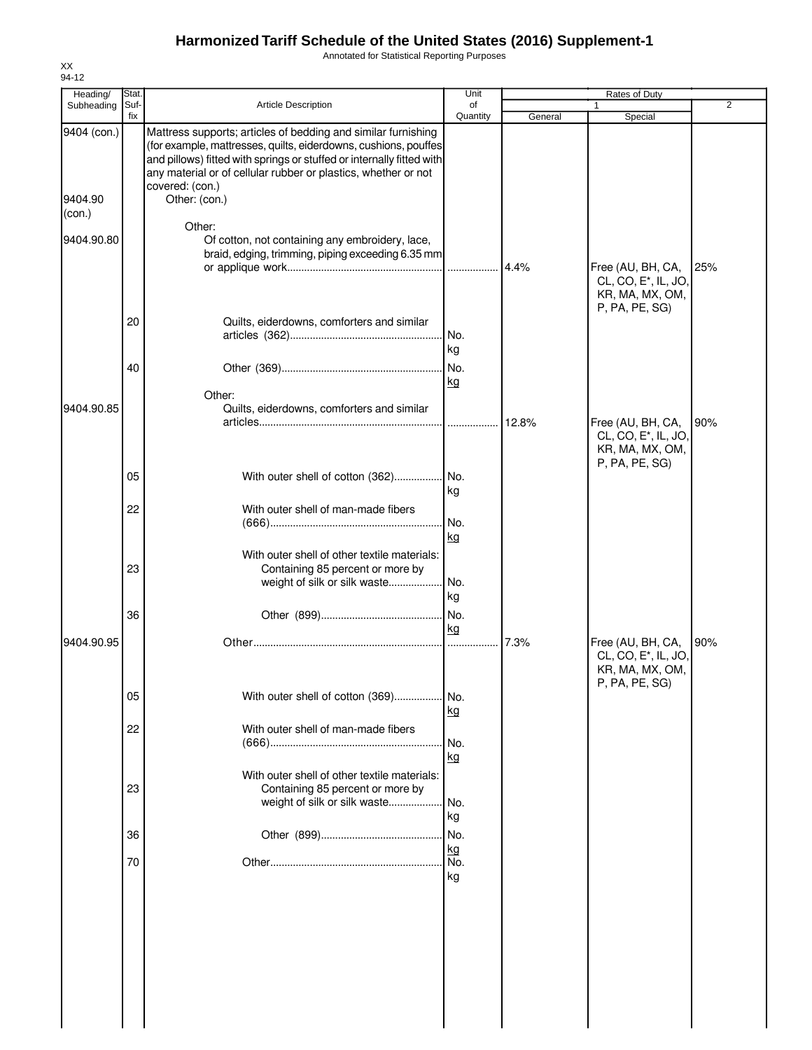Annotated for Statistical Reporting Purposes

| Heading/                         | Stat        |                                                                                                                                                                                                                                                                                                                 | Unit            |         | Rates of Duty                                                                              |                |
|----------------------------------|-------------|-----------------------------------------------------------------------------------------------------------------------------------------------------------------------------------------------------------------------------------------------------------------------------------------------------------------|-----------------|---------|--------------------------------------------------------------------------------------------|----------------|
| Subheading                       | Suf-<br>fix | <b>Article Description</b>                                                                                                                                                                                                                                                                                      | of<br>Quantity  | General | Special                                                                                    | $\overline{2}$ |
| 9404 (con.)<br>9404.90<br>(con.) |             | Mattress supports; articles of bedding and similar furnishing<br>(for example, mattresses, quilts, eiderdowns, cushions, pouffes<br>and pillows) fitted with springs or stuffed or internally fitted with<br>any material or of cellular rubber or plastics, whether or not<br>covered: (con.)<br>Other: (con.) |                 |         |                                                                                            |                |
| 9404.90.80                       |             | Other:<br>Of cotton, not containing any embroidery, lace,<br>braid, edging, trimming, piping exceeding 6.35 mm                                                                                                                                                                                                  |                 | 4.4%    | Free (AU, BH, CA,<br>CL, CO, E <sup>*</sup> , IL, JO,<br>KR, MA, MX, OM,                   | 25%            |
|                                  | 20          | Quilts, eiderdowns, comforters and similar                                                                                                                                                                                                                                                                      | No.<br>kg       |         | P, PA, PE, SG)                                                                             |                |
|                                  | 40          | Other:                                                                                                                                                                                                                                                                                                          | No.<br>kg       |         |                                                                                            |                |
| 9404.90.85                       |             | Quilts, eiderdowns, comforters and similar                                                                                                                                                                                                                                                                      |                 | 12.8%   | Free (AU, BH, CA,<br>CL, CO, E*, IL, JO,<br>KR, MA, MX, OM,<br>P, PA, PE, SG)              | 90%            |
|                                  | 05          | With outer shell of cotton (362) No.                                                                                                                                                                                                                                                                            | kg              |         |                                                                                            |                |
|                                  | 22          | With outer shell of man-made fibers                                                                                                                                                                                                                                                                             | No.<br>kg       |         |                                                                                            |                |
|                                  | 23          | With outer shell of other textile materials:<br>Containing 85 percent or more by<br>weight of silk or silk waste                                                                                                                                                                                                | No.<br>kg       |         |                                                                                            |                |
|                                  | 36          |                                                                                                                                                                                                                                                                                                                 | No.<br>kg       |         |                                                                                            |                |
| 9404.90.95                       |             |                                                                                                                                                                                                                                                                                                                 |                 | 7.3%    | Free (AU, BH, CA,<br>CL, CO, E <sup>*</sup> , IL, JO,<br>KR, MA, MX, OM,<br>P, PA, PE, SG) | 90%            |
|                                  | 05          | With outer shell of cotton (369)                                                                                                                                                                                                                                                                                | No.<br>kg       |         |                                                                                            |                |
|                                  | 22          | With outer shell of man-made fibers                                                                                                                                                                                                                                                                             | No.<br>kg       |         |                                                                                            |                |
|                                  | 23          | With outer shell of other textile materials:<br>Containing 85 percent or more by<br>weight of silk or silk waste                                                                                                                                                                                                | No.<br>kg       |         |                                                                                            |                |
|                                  | 36          |                                                                                                                                                                                                                                                                                                                 | No.             |         |                                                                                            |                |
|                                  | 70          |                                                                                                                                                                                                                                                                                                                 | kg<br>No.<br>kg |         |                                                                                            |                |
|                                  |             |                                                                                                                                                                                                                                                                                                                 |                 |         |                                                                                            |                |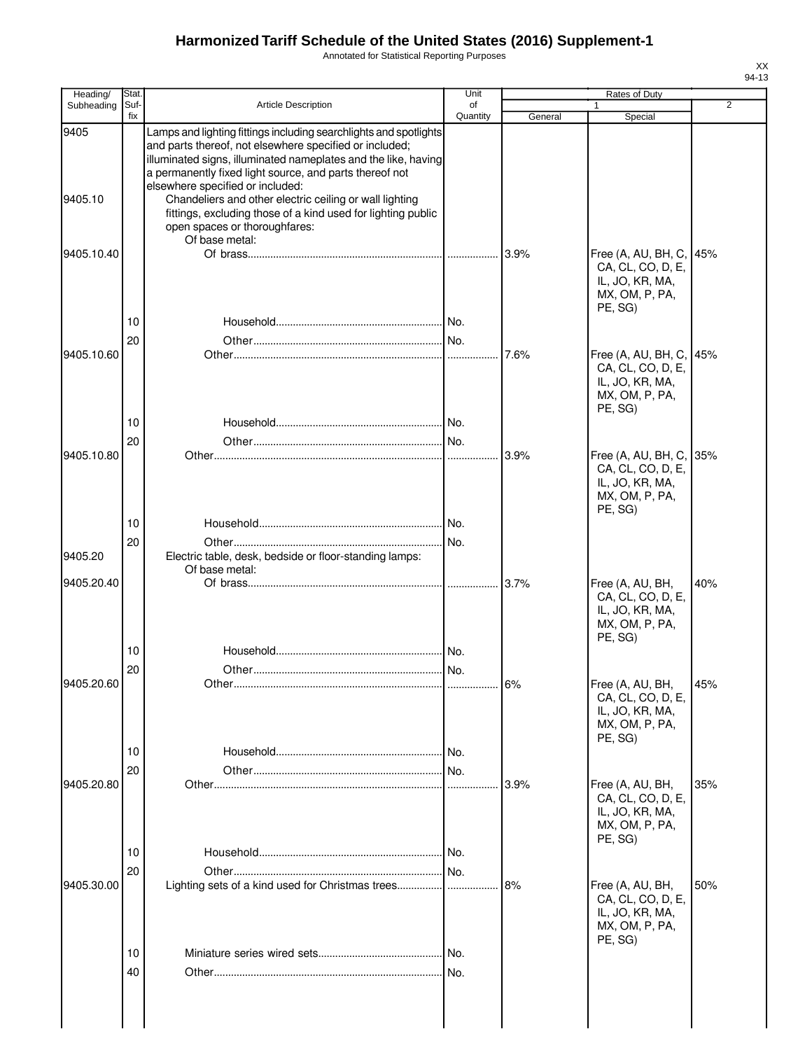Annotated for Statistical Reporting Purposes

| J. | ٦<br>≺<br>л |
|----|-------------|

| Heading/        | Stat.       |                                                                                                                                                                                                                                                                                                                                                                                                                                                                             | Unit           | Rates of Duty |                                                                                              |                |
|-----------------|-------------|-----------------------------------------------------------------------------------------------------------------------------------------------------------------------------------------------------------------------------------------------------------------------------------------------------------------------------------------------------------------------------------------------------------------------------------------------------------------------------|----------------|---------------|----------------------------------------------------------------------------------------------|----------------|
| Subheading      | Suf-<br>fix | <b>Article Description</b>                                                                                                                                                                                                                                                                                                                                                                                                                                                  | of<br>Quantity | General       | 1<br>Special                                                                                 | $\overline{2}$ |
| 9405<br>9405.10 |             | Lamps and lighting fittings including searchlights and spotlights<br>and parts thereof, not elsewhere specified or included;<br>illuminated signs, illuminated nameplates and the like, having<br>a permanently fixed light source, and parts thereof not<br>elsewhere specified or included:<br>Chandeliers and other electric ceiling or wall lighting<br>fittings, excluding those of a kind used for lighting public<br>open spaces or thoroughfares:<br>Of base metal: |                |               |                                                                                              |                |
| 9405.10.40      |             |                                                                                                                                                                                                                                                                                                                                                                                                                                                                             |                | 3.9%          | Free (A, AU, BH, C,<br>CA, CL, CO, D, E,<br>IL, JO, KR, MA,<br>MX, OM, P, PA,<br>PE, SG)     | 45%            |
|                 | 10          |                                                                                                                                                                                                                                                                                                                                                                                                                                                                             |                |               |                                                                                              |                |
| 9405.10.60      | 20          |                                                                                                                                                                                                                                                                                                                                                                                                                                                                             |                | 7.6%          | Free (A, AU, BH, C, 45%<br>CA, CL, CO, D, E,<br>IL, JO, KR, MA,<br>MX, OM, P, PA,<br>PE, SG) |                |
|                 | 10          |                                                                                                                                                                                                                                                                                                                                                                                                                                                                             |                |               |                                                                                              |                |
|                 | 20          |                                                                                                                                                                                                                                                                                                                                                                                                                                                                             |                |               |                                                                                              |                |
| 9405.10.80      |             |                                                                                                                                                                                                                                                                                                                                                                                                                                                                             |                | 3.9%          | Free (A, AU, BH, C, 35%<br>CA, CL, CO, D, E,<br>IL, JO, KR, MA,<br>MX, OM, P, PA,<br>PE, SG) |                |
|                 | 10          |                                                                                                                                                                                                                                                                                                                                                                                                                                                                             |                |               |                                                                                              |                |
| 9405.20         | 20          | Electric table, desk, bedside or floor-standing lamps:<br>Of base metal:                                                                                                                                                                                                                                                                                                                                                                                                    |                |               |                                                                                              |                |
| 9405.20.40      |             |                                                                                                                                                                                                                                                                                                                                                                                                                                                                             |                | 3.7%          | Free (A, AU, BH,<br>CA, CL, CO, D, E,<br>IL, JO, KR, MA,<br>MX, OM, P, PA,<br>PE, SG)        | 40%            |
|                 | 10          |                                                                                                                                                                                                                                                                                                                                                                                                                                                                             |                |               |                                                                                              |                |
|                 | 20          |                                                                                                                                                                                                                                                                                                                                                                                                                                                                             |                |               |                                                                                              |                |
| 9405.20.60      |             |                                                                                                                                                                                                                                                                                                                                                                                                                                                                             |                |               | Free (A, AU, BH,<br>CA, CL, CO, D, E,<br>IL, JO, KR, MA,<br>MX, OM, P, PA,<br>PE, SG)        | 45%            |
|                 | 10          |                                                                                                                                                                                                                                                                                                                                                                                                                                                                             |                |               |                                                                                              |                |
| 9405.20.80      | 20          |                                                                                                                                                                                                                                                                                                                                                                                                                                                                             | No.            | 3.9%          | Free (A, AU, BH,<br>CA, CL, CO, D, E,<br>IL, JO, KR, MA,                                     | 35%            |
|                 |             |                                                                                                                                                                                                                                                                                                                                                                                                                                                                             |                |               | MX, OM, P, PA,                                                                               |                |
|                 | 10          |                                                                                                                                                                                                                                                                                                                                                                                                                                                                             |                |               | PE, SG)                                                                                      |                |
|                 | 20          |                                                                                                                                                                                                                                                                                                                                                                                                                                                                             |                |               |                                                                                              |                |
| 9405.30.00      |             |                                                                                                                                                                                                                                                                                                                                                                                                                                                                             |                | 8%            | Free (A, AU, BH,<br>CA, CL, CO, D, E,<br>IL, JO, KR, MA,<br>MX, OM, P, PA,<br>PE, SG)        | 50%            |
|                 | 10          |                                                                                                                                                                                                                                                                                                                                                                                                                                                                             | No.            |               |                                                                                              |                |
|                 | 40          |                                                                                                                                                                                                                                                                                                                                                                                                                                                                             |                |               |                                                                                              |                |
|                 |             |                                                                                                                                                                                                                                                                                                                                                                                                                                                                             |                |               |                                                                                              |                |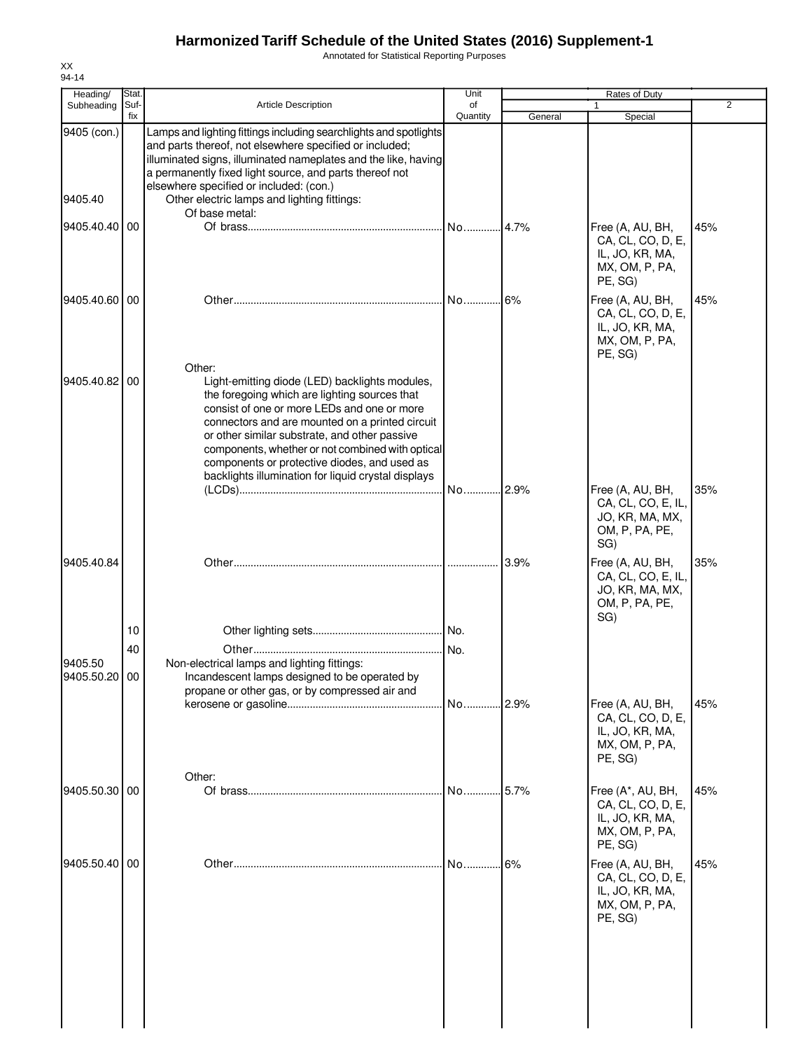Annotated for Statistical Reporting Purposes

| Stat.<br>Suf- | <b>Article Description</b>                                                                                                                                                                                                                                                                                                                                | Unit<br>of                         |                                                                                                                                                                                                      | Rates of Duty                                                                          | $\overline{2}$                              |
|---------------|-----------------------------------------------------------------------------------------------------------------------------------------------------------------------------------------------------------------------------------------------------------------------------------------------------------------------------------------------------------|------------------------------------|------------------------------------------------------------------------------------------------------------------------------------------------------------------------------------------------------|----------------------------------------------------------------------------------------|---------------------------------------------|
| fix           |                                                                                                                                                                                                                                                                                                                                                           | Quantity                           | General                                                                                                                                                                                              | Special                                                                                |                                             |
|               | and parts thereof, not elsewhere specified or included;<br>a permanently fixed light source, and parts thereof not<br>elsewhere specified or included: (con.)<br>Other electric lamps and lighting fittings:                                                                                                                                              |                                    |                                                                                                                                                                                                      |                                                                                        |                                             |
|               |                                                                                                                                                                                                                                                                                                                                                           |                                    |                                                                                                                                                                                                      |                                                                                        |                                             |
|               |                                                                                                                                                                                                                                                                                                                                                           |                                    |                                                                                                                                                                                                      | CA, CL, CO, D, E,<br>IL, JO, KR, MA,<br>MX, OM, P, PA,<br>PE, SG)                      | 45%                                         |
| 9405.40.60 00 |                                                                                                                                                                                                                                                                                                                                                           |                                    |                                                                                                                                                                                                      | Free (A, AU, BH,<br>CA, CL, CO, D, E,<br>IL, JO, KR, MA,<br>MX, OM, P, PA,<br>PE, SG)  | 45%                                         |
| 9405.40.82 00 | Light-emitting diode (LED) backlights modules,<br>the foregoing which are lighting sources that<br>consist of one or more LEDs and one or more<br>connectors and are mounted on a printed circuit<br>or other similar substrate, and other passive<br>components or protective diodes, and used as<br>backlights illumination for liquid crystal displays |                                    |                                                                                                                                                                                                      |                                                                                        |                                             |
|               |                                                                                                                                                                                                                                                                                                                                                           | No                                 |                                                                                                                                                                                                      | Free (A, AU, BH,<br>CA, CL, CO, E, IL,<br>JO, KR, MA, MX,<br>OM, P, PA, PE,<br>SG)     | 35%                                         |
|               |                                                                                                                                                                                                                                                                                                                                                           |                                    |                                                                                                                                                                                                      | Free (A, AU, BH,<br>CA, CL, CO, E, IL,<br>JO, KR, MA, MX,<br>OM, P, PA, PE,            | 35%                                         |
| 10            |                                                                                                                                                                                                                                                                                                                                                           |                                    |                                                                                                                                                                                                      |                                                                                        |                                             |
|               |                                                                                                                                                                                                                                                                                                                                                           |                                    |                                                                                                                                                                                                      |                                                                                        |                                             |
| 9405.50.20 00 | Non-electrical lamps and lighting fittings:<br>Incandescent lamps designed to be operated by<br>propane or other gas, or by compressed air and                                                                                                                                                                                                            |                                    |                                                                                                                                                                                                      |                                                                                        |                                             |
|               |                                                                                                                                                                                                                                                                                                                                                           |                                    |                                                                                                                                                                                                      | CA, CL, CO, D, E,<br>IL, JO, KR, MA,<br>MX, OM, P, PA,<br>PE, SG)                      | 45%                                         |
| 9405.50.30 00 |                                                                                                                                                                                                                                                                                                                                                           |                                    |                                                                                                                                                                                                      | Free (A*, AU, BH,<br>CA, CL, CO, D, E,<br>IL, JO, KR, MA,<br>MX, OM, P, PA,<br>PE, SG) | 45%                                         |
| 9405.50.40 00 |                                                                                                                                                                                                                                                                                                                                                           | No                                 | 6%                                                                                                                                                                                                   | Free (A, AU, BH,<br>CA, CL, CO, D, E,<br>IL, JO, KR, MA,                               | 45%                                         |
|               | 9405.40.40 00<br>40                                                                                                                                                                                                                                                                                                                                       | Of base metal:<br>Other:<br>Other: | Lamps and lighting fittings including searchlights and spotlights<br>illuminated signs, illuminated nameplates and the like, having<br>components, whether or not combined with optical<br>No.<br>No | No 4.7%<br>No16%<br>$.12.9\%$<br>3.9%<br>.2.9%<br>No 5.7%                              | Free (A, AU, BH,<br>SG)<br>Free (A, AU, BH, |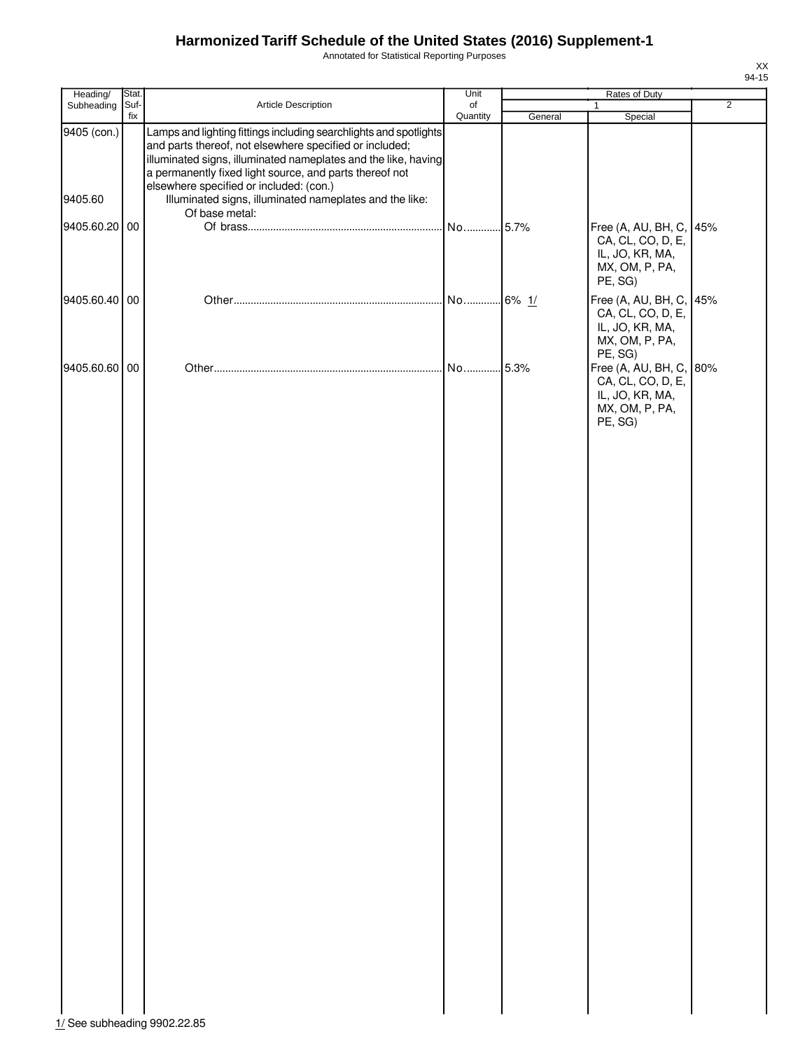Annotated for Statistical Reporting Purposes

| Heading/               | Stat.       |                                                                                                                                                                                                                                                                                                                                                                                   | Unit           |         |                                                                                              |                |
|------------------------|-------------|-----------------------------------------------------------------------------------------------------------------------------------------------------------------------------------------------------------------------------------------------------------------------------------------------------------------------------------------------------------------------------------|----------------|---------|----------------------------------------------------------------------------------------------|----------------|
| Subheading             | Suf-<br>fix | Article Description                                                                                                                                                                                                                                                                                                                                                               | of<br>Quantity | General | $\mathbf{1}$<br>Special                                                                      | $\overline{2}$ |
| 9405 (con.)<br>9405.60 |             | Lamps and lighting fittings including searchlights and spotlights<br>and parts thereof, not elsewhere specified or included;<br>illuminated signs, illuminated nameplates and the like, having<br>a permanently fixed light source, and parts thereof not<br>elsewhere specified or included: (con.)<br>Illuminated signs, illuminated nameplates and the like:<br>Of base metal: |                |         |                                                                                              |                |
| 9405.60.20 00          |             |                                                                                                                                                                                                                                                                                                                                                                                   | No 5.7%        |         | Free (A, AU, BH, C,<br>CA, CL, CO, D, E,<br>IL, JO, KR, MA,<br>MX, OM, P, PA,<br>PE, SG)     | 45%            |
| 9405.60.40 00          |             |                                                                                                                                                                                                                                                                                                                                                                                   | No 6% 1/       |         | Free (A, AU, BH, C,<br>CA, CL, CO, D, E,<br>IL, JO, KR, MA,<br>MX, OM, P, PA,<br>PE, SG)     | 45%            |
| 9405.60.60 00          |             |                                                                                                                                                                                                                                                                                                                                                                                   | No 5.3%        |         | Free (A, AU, BH, C, 80%<br>CA, CL, CO, D, E,<br>IL, JO, KR, MA,<br>MX, OM, P, PA,<br>PE, SG) |                |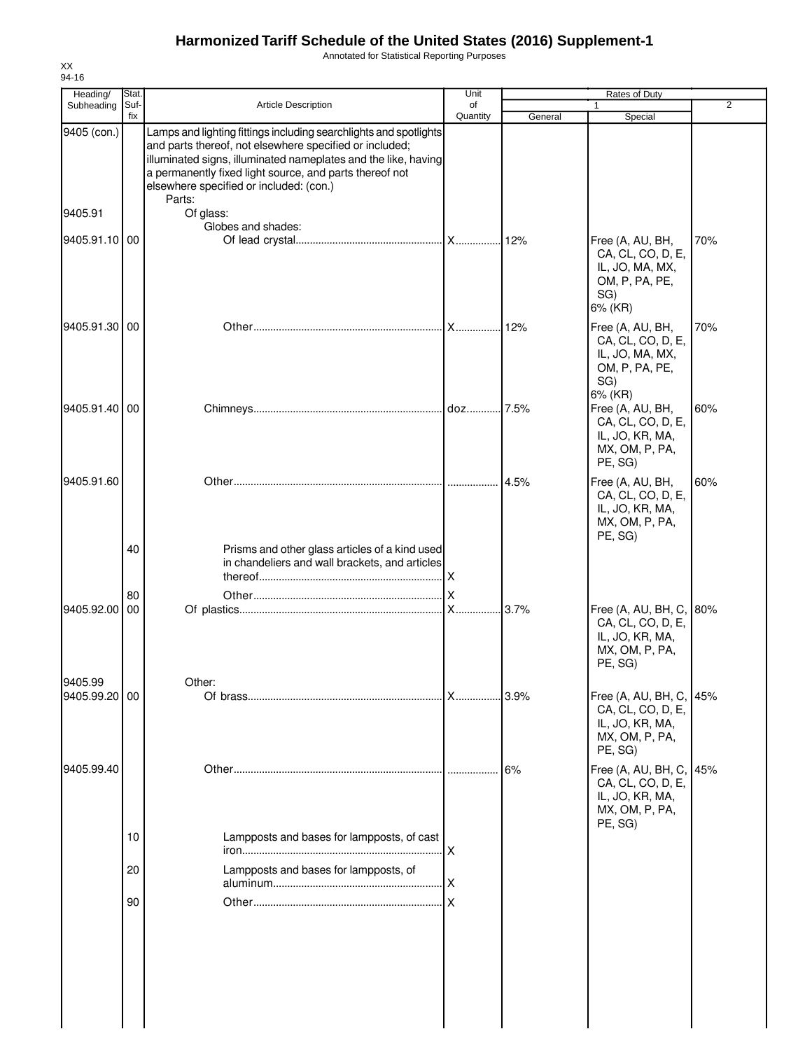Annotated for Statistical Reporting Purposes

| Heading/<br>Subheading   | Stat<br>Suf-<br><b>Article Description</b> |                                                                                                                                                                                                                                                                                                                | Unit<br>of | Rates of Duty<br>2<br>1 |                                                                                              |     |
|--------------------------|--------------------------------------------|----------------------------------------------------------------------------------------------------------------------------------------------------------------------------------------------------------------------------------------------------------------------------------------------------------------|------------|-------------------------|----------------------------------------------------------------------------------------------|-----|
|                          | fix                                        |                                                                                                                                                                                                                                                                                                                | Quantity   | General                 | Special                                                                                      |     |
| 9405 (con.)              |                                            | Lamps and lighting fittings including searchlights and spotlights<br>and parts thereof, not elsewhere specified or included;<br>illuminated signs, illuminated nameplates and the like, having<br>a permanently fixed light source, and parts thereof not<br>elsewhere specified or included: (con.)<br>Parts: |            |                         |                                                                                              |     |
| 9405.91                  |                                            | Of glass:<br>Globes and shades:                                                                                                                                                                                                                                                                                |            |                         |                                                                                              |     |
| 9405.91.10 00            |                                            |                                                                                                                                                                                                                                                                                                                |            |                         | Free (A, AU, BH,<br>CA, CL, CO, D, E,<br>IL, JO, MA, MX,<br>OM, P, PA, PE,<br>SG)<br>6% (KR) | 70% |
| 9405.91.30 00            |                                            |                                                                                                                                                                                                                                                                                                                | X          | 12%                     | Free (A, AU, BH,<br>CA, CL, CO, D, E,<br>IL, JO, MA, MX,<br>OM, P, PA, PE,<br>SG)<br>6% (KR) | 70% |
| 9405.91.40 00            |                                            |                                                                                                                                                                                                                                                                                                                |            |                         | Free (A, AU, BH,<br>CA, CL, CO, D, E,<br>IL, JO, KR, MA,<br>MX, OM, P, PA,<br>PE, SG)        | 60% |
| 9405.91.60               |                                            |                                                                                                                                                                                                                                                                                                                | .          | 4.5%                    | Free (A, AU, BH,<br>CA, CL, CO, D, E,<br>IL, JO, KR, MA,<br>MX, OM, P, PA,<br>PE, SG)        | 60% |
|                          | 40                                         | Prisms and other glass articles of a kind used<br>in chandeliers and wall brackets, and articles                                                                                                                                                                                                               |            |                         |                                                                                              |     |
| 9405.92.00               | 80<br>00                                   |                                                                                                                                                                                                                                                                                                                | X          | 3.7%                    | Free (A, AU, BH, C,<br>CA, CL, CO, D, E,<br>IL, JO, KR, MA,<br>MX, OM, P, PA,<br>PE, SG)     | 80% |
| 9405.99<br>9405.99.20 00 |                                            | Other:                                                                                                                                                                                                                                                                                                         | X          | 3.9%                    | Free (A, AU, BH, C, 45%<br>CA, CL, CO, D, E,<br>IL, JO, KR, MA,<br>MX, OM, P, PA,<br>PE, SG) |     |
| 9405.99.40               |                                            |                                                                                                                                                                                                                                                                                                                | .          | 6%                      | Free (A, AU, BH, C,<br>CA, CL, CO, D, E,<br>IL, JO, KR, MA,<br>MX, OM, P, PA,<br>PE, SG)     | 45% |
|                          | 10                                         | Lampposts and bases for lampposts, of cast                                                                                                                                                                                                                                                                     | X          |                         |                                                                                              |     |
|                          | 20                                         | Lampposts and bases for lampposts, of                                                                                                                                                                                                                                                                          | X          |                         |                                                                                              |     |
|                          | 90                                         |                                                                                                                                                                                                                                                                                                                | .lx        |                         |                                                                                              |     |
|                          |                                            |                                                                                                                                                                                                                                                                                                                |            |                         |                                                                                              |     |